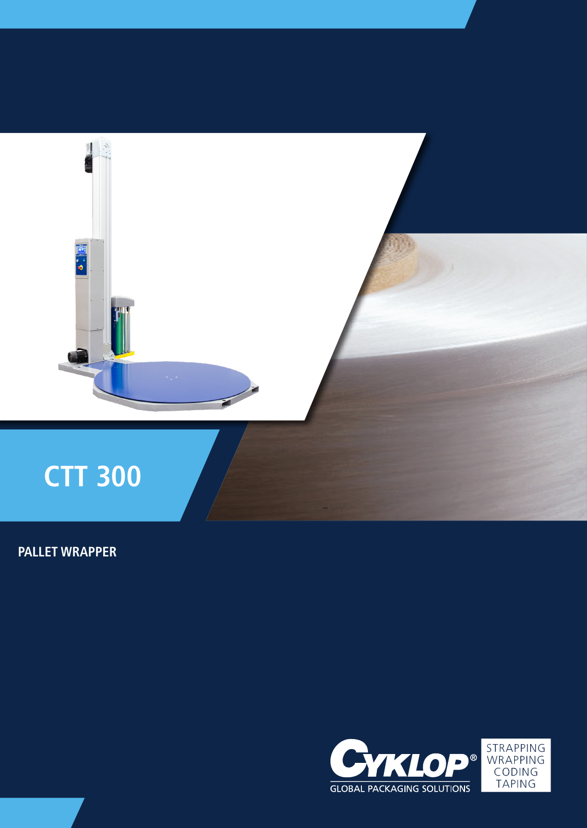

# **PALLET WRAPPER**